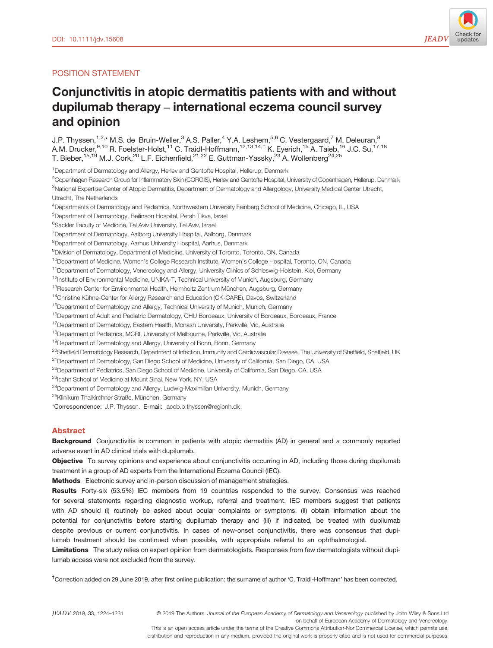## POSITION STATEMENT

# Conjunctivitis in atopic dermatitis patients with and without dupilumab therapy – international eczema council survey and opinion

J.P. Thyssen,<sup>1,2,\*</sup> M.S. de Bruin-Weller,<sup>3</sup> A.S. Paller,<sup>4</sup> Y.A. Leshem,<sup>5,6</sup> C. Vestergaard,<sup>7</sup> M. Deleuran,<sup>8</sup> A.M. Drucker, $^{9,10}$  R. Foelster-Holst, $^{11}$  C. Traidl-Hoffmann, $^{12,13,14,\dagger}$  K. Eyerich, $^{15}$  A. Taieb, $^{16}$  J.C. Su, $^{17,18}$ T. Bieber,  $^{15,19}$  M.J. Cork,  $^{20}$  L.F. Eichenfield,  $^{21,22}$  E. Guttman-Yassky,  $^{23}$  A. Wollenberg  $^{24,25}$ 

<sup>1</sup>Department of Dermatology and Allergy, Herlev and Gentofte Hospital, Hellerup, Denmark

2 Copenhagen Research Group for Inflammatory Skin (CORGIS), Herlev and Gentofte Hospital, University of Copenhagen, Hellerup, Denmark

<sup>3</sup>National Expertise Center of Atopic Dermatitis, Department of Dermatology and Allergology, University Medical Center Utrecht, Utrecht, The Netherlands

4 Departments of Dermatology and Pediatrics, Northwestern University Feinberg School of Medicine, Chicago, IL, USA

5 Department of Dermatology, Beilinson Hospital, Petah Tikva, Israel

<sup>6</sup>Sackler Faculty of Medicine, Tel Aviv University, Tel Aviv, Israel

<sup>7</sup>Department of Dermatology, Aalborg University Hospital, Aalborg, Denmark

<sup>8</sup>Department of Dermatology, Aarhus University Hospital, Aarhus, Denmark

9 Division of Dermatology, Department of Medicine, University of Toronto, Toronto, ON, Canada

<sup>10</sup>Department of Medicine, Women's College Research Institute, Women's College Hospital, Toronto, ON, Canada

<sup>11</sup> Department of Dermatology, Venereology and Allergy, University Clinics of Schleswig-Holstein, Kiel, Germany

<sup>12</sup>Institute of Environmental Medicine, UNIKA-T, Technical University of Munich, Augsburg, Germany

 $13R$ esearch Center for Environmental Health, Helmholtz Zentrum München, Augsburg, Germany

<sup>14</sup>Christine Kühne-Center for Allergy Research and Education (CK-CARE), Davos, Switzerland

<sup>15</sup>Department of Dermatology and Allergy, Technical University of Munich, Munich, Germany

<sup>16</sup>Department of Adult and Pediatric Dermatology, CHU Bordeaux, University of Bordeaux, Bordeaux, France

<sup>17</sup> Department of Dermatology, Eastern Health, Monash University, Parkville, Vic, Australia

<sup>18</sup>Department of Pediatrics, MCRI, University of Melbourne, Parkville, Vic, Australia

<sup>19</sup>Department of Dermatology and Allergy, University of Bonn, Bonn, Germany

<sup>20</sup>Sheffield Dermatology Research, Department of Infection, Immunity and Cardiovascular Disease, The University of Sheffield, Sheffield, UK

<sup>21</sup> Department of Dermatology, San Diego School of Medicine, University of California, San Diego, CA, USA

<sup>22</sup>Department of Pediatrics, San Diego School of Medicine, University of California, San Diego, CA, USA

23Icahn School of Medicine at Mount Sinai, New York, NY, USA

<sup>24</sup>Department of Dermatology and Allergy, Ludwig-Maximilian University, Munich, Germany

<sup>25</sup>Klinikum Thalkirchner Straße, München, Germany

\*Correspondence: J.P. Thyssen. E-mail: [jacob.p.thyssen@regionh.dk](mailto:)

## Abstract

Background Conjunctivitis is common in patients with atopic dermatitis (AD) in general and a commonly reported adverse event in AD clinical trials with dupilumab.

Objective To survey opinions and experience about conjunctivitis occurring in AD, including those during dupilumab treatment in a group of AD experts from the International Eczema Council (IEC).

Methods Electronic survey and in-person discussion of management strategies.

Results Forty-six (53.5%) IEC members from 19 countries responded to the survey. Consensus was reached for several statements regarding diagnostic workup, referral and treatment. IEC members suggest that patients with AD should (i) routinely be asked about ocular complaints or symptoms, (ii) obtain information about the potential for conjunctivitis before starting dupilumab therapy and (iii) if indicated, be treated with dupilumab despite previous or current conjunctivitis. In cases of new-onset conjunctivitis, there was consensus that dupilumab treatment should be continued when possible, with appropriate referral to an ophthalmologist.

Limitations The study relies on expert opinion from dermatologists. Responses from few dermatologists without dupilumab access were not excluded from the survey.

† Correction added on 29 June 2019, after first online publication: the surname of author 'C. Traidl-Hoffmann' has been corrected.

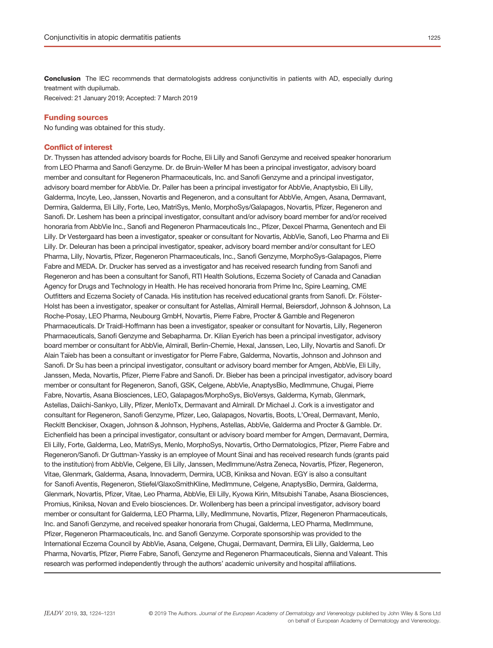Conclusion The IEC recommends that dermatologists address conjunctivitis in patients with AD, especially during treatment with dupilumab.

Received: 21 January 2019; Accepted: 7 March 2019

#### Funding sources

No funding was obtained for this study.

## Conflict of interest

Dr. Thyssen has attended advisory boards for Roche, Eli Lilly and Sanofi Genzyme and received speaker honorarium from LEO Pharma and Sanofi Genzyme. Dr. de Bruin-Weller M has been a principal investigator, advisory board member and consultant for Regeneron Pharmaceuticals, Inc. and Sanofi Genzyme and a principal investigator, advisory board member for AbbVie. Dr. Paller has been a principal investigator for AbbVie, Anaptysbio, Eli Lilly, Galderma, Incyte, Leo, Janssen, Novartis and Regeneron, and a consultant for AbbVie, Amgen, Asana, Dermavant, Dermira, Galderma, Eli Lilly, Forte, Leo, MatriSys, Menlo, MorphoSys/Galapagos, Novartis, Pfizer, Regeneron and Sanofi. Dr. Leshem has been a principal investigator, consultant and/or advisory board member for and/or received honoraria from AbbVie Inc., Sanofi and Regeneron Pharmaceuticals Inc., Pfizer, Dexcel Pharma, Genentech and Eli Lilly. Dr Vestergaard has been a investigator, speaker or consultant for Novartis, AbbVie, Sanofi, Leo Pharma and Eli Lilly. Dr. Deleuran has been a principal investigator, speaker, advisory board member and/or consultant for LEO Pharma, Lilly, Novartis, Pfizer, Regeneron Pharmaceuticals, Inc., Sanofi Genzyme, MorphoSys-Galapagos, Pierre Fabre and MEDA. Dr. Drucker has served as a investigator and has received research funding from Sanofi and Regeneron and has been a consultant for Sanofi, RTI Health Solutions, Eczema Society of Canada and Canadian Agency for Drugs and Technology in Health. He has received honoraria from Prime Inc, Spire Learning, CME Outfitters and Eczema Society of Canada. His institution has received educational grants from Sanofi. Dr. Fölster-Holst has been a investigator, speaker or consultant for Astellas, Almirall Hermal, Beiersdorf, Johnson & Johnson, La Roche-Posay, LEO Pharma, Neubourg GmbH, Novartis, Pierre Fabre, Procter & Gamble and Regeneron Pharmaceuticals. Dr Traidl-Hoffmann has been a investigator, speaker or consultant for Novartis, Lilly, Regeneron Pharmaceuticals, Sanofi Genzyme and Sebapharma. Dr. Kilian Eyerich has been a principal investigator, advisory board member or consultant for AbbVie, Almirall, Berlin-Chemie, Hexal, Janssen, Leo, Lilly, Novartis and Sanofi. Dr Alain Taïeb has been a consultant or investigator for Pierre Fabre, Galderma, Novartis, Johnson and Johnson and Sanofi. Dr Su has been a principal investigator, consultant or advisory board member for Amgen, AbbVie, Eli Lilly, Janssen, Meda, Novartis, Pfizer, Pierre Fabre and Sanofi. Dr. Bieber has been a principal investigator, advisory board member or consultant for Regeneron, Sanofi, GSK, Celgene, AbbVie, AnaptysBio, MedImmune, Chugai, Pierre Fabre, Novartis, Asana Biosciences, LEO, Galapagos/MorphoSys, BioVersys, Galderma, Kymab, Glenmark, Astellas, Daiichi-Sankyo, Lilly, Pfizer, MenloTx, Dermavant and Almirall. Dr Michael J. Cork is a investigator and consultant for Regeneron, Sanofi Genzyme, Pfizer, Leo, Galapagos, Novartis, Boots, L'Oreal, Dermavant, Menlo, Reckitt Benckiser, Oxagen, Johnson & Johnson, Hyphens, Astellas, AbbVie, Galderma and Procter & Gamble. Dr. Eichenfield has been a principal investigator, consultant or advisory board member for Amgen, Dermavant, Dermira, Eli Lilly, Forte, Galderma, Leo, MatriSys, Menlo, MorphoSys, Novartis, Ortho Dermatologics, Pfizer, Pierre Fabre and Regeneron/Sanofi. Dr Guttman-Yassky is an employee of Mount Sinai and has received research funds (grants paid to the institution) from AbbVie, Celgene, Eli Lilly, Janssen, MedImmune/Astra Zeneca, Novartis, Pfizer, Regeneron, Vitae, Glenmark, Galderma, Asana, Innovaderm, Dermira, UCB, Kiniksa and Novan. EGY is also a consultant for Sanofi Aventis, Regeneron, Stiefel/GlaxoSmithKline, MedImmune, Celgene, AnaptysBio, Dermira, Galderma, Glenmark, Novartis, Pfizer, Vitae, Leo Pharma, AbbVie, Eli Lilly, Kyowa Kirin, Mitsubishi Tanabe, Asana Biosciences, Promius, Kiniksa, Novan and Evelo biosciences. Dr. Wollenberg has been a principal investigator, advisory board member or consultant for Galderma, LEO Pharma, Lilly, MedImmune, Novartis, Pfizer, Regeneron Pharmaceuticals, Inc. and Sanofi Genzyme, and received speaker honoraria from Chugai, Galderma, LEO Pharma, MedImmune, Pfizer, Regeneron Pharmaceuticals, Inc. and Sanofi Genzyme. Corporate sponsorship was provided to the International Eczema Council by AbbVie, Asana, Celgene, Chugai, Dermavant, Dermira, Eli Lilly, Galderma, Leo Pharma, Novartis, Pfizer, Pierre Fabre, Sanofi, Genzyme and Regeneron Pharmaceuticals, Sienna and Valeant. This research was performed independently through the authors' academic university and hospital affiliations.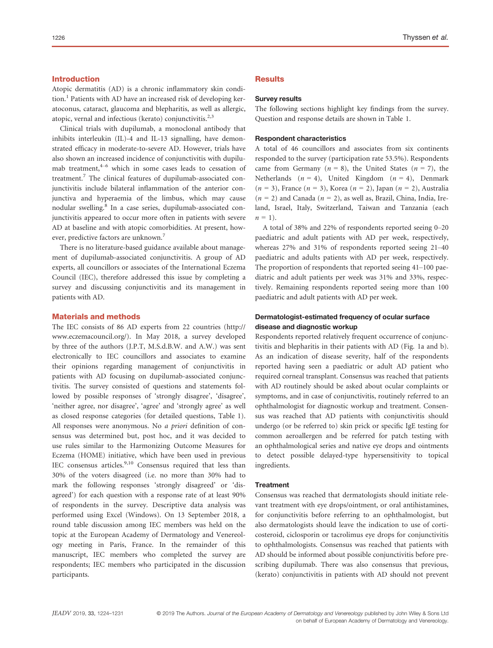## Introduction

Atopic dermatitis (AD) is a chronic inflammatory skin condition.<sup>1</sup> Patients with AD have an increased risk of developing keratoconus, cataract, glaucoma and blepharitis, as well as allergic, atopic, vernal and infectious (kerato) conjunctivitis. $2,3$ 

Clinical trials with dupilumab, a monoclonal antibody that inhibits interleukin (IL)-4 and IL-13 signalling, have demonstrated efficacy in moderate-to-severe AD. However, trials have also shown an increased incidence of conjunctivitis with dupilumab treatment,<sup>4–6</sup> which in some cases leads to cessation of treatment.<sup>7</sup> The clinical features of dupilumab-associated conjunctivitis include bilateral inflammation of the anterior conjunctiva and hyperaemia of the limbus, which may cause nodular swelling.<sup>8</sup> In a case series, dupilumab-associated conjunctivitis appeared to occur more often in patients with severe AD at baseline and with atopic comorbidities. At present, however, predictive factors are unknown.<sup>7</sup>

There is no literature-based guidance available about management of dupilumab-associated conjunctivitis. A group of AD experts, all councillors or associates of the International Eczema Council (IEC), therefore addressed this issue by completing a survey and discussing conjunctivitis and its management in patients with AD.

#### Materials and methods

The IEC consists of 86 AD experts from 22 countries ([http://](http://www.eczemacouncil.org/) [www.eczemacouncil.org/\)](http://www.eczemacouncil.org/). In May 2018, a survey developed by three of the authors (J.P.T, M.S.d.B.W. and A.W.) was sent electronically to IEC councillors and associates to examine their opinions regarding management of conjunctivitis in patients with AD focusing on dupilumab-associated conjunctivitis. The survey consisted of questions and statements followed by possible responses of 'strongly disagree', 'disagree', 'neither agree, nor disagree', 'agree' and 'strongly agree' as well as closed response categories (for detailed questions, Table 1). All responses were anonymous. No a priori definition of consensus was determined but, post hoc, and it was decided to use rules similar to the Harmonizing Outcome Measures for Eczema (HOME) initiative, which have been used in previous IEC consensus articles.<sup>9,10</sup> Consensus required that less than 30% of the voters disagreed (i.e. no more than 30% had to mark the following responses 'strongly disagreed' or 'disagreed') for each question with a response rate of at least 90% of respondents in the survey. Descriptive data analysis was performed using Excel (Windows). On 13 September 2018, a round table discussion among IEC members was held on the topic at the European Academy of Dermatology and Venereology meeting in Paris, France. In the remainder of this manuscript, IEC members who completed the survey are respondents; IEC members who participated in the discussion participants.

## **Results**

#### Survey results

The following sections highlight key findings from the survey. Question and response details are shown in Table 1.

#### Respondent characteristics

A total of 46 councillors and associates from six continents responded to the survey (participation rate 53.5%). Respondents came from Germany ( $n = 8$ ), the United States ( $n = 7$ ), the Netherlands  $(n = 4)$ , United Kingdom  $(n = 4)$ , Denmark  $(n = 3)$ , France  $(n = 3)$ , Korea  $(n = 2)$ , Japan  $(n = 2)$ , Australia  $(n = 2)$  and Canada  $(n = 2)$ , as well as, Brazil, China, India, Ireland, Israel, Italy, Switzerland, Taiwan and Tanzania (each  $n = 1$ ).

A total of 38% and 22% of respondents reported seeing 0–20 paediatric and adult patients with AD per week, respectively, whereas 27% and 31% of respondents reported seeing 21–40 paediatric and adults patients with AD per week, respectively. The proportion of respondents that reported seeing 41–100 paediatric and adult patients per week was 31% and 33%, respectively. Remaining respondents reported seeing more than 100 paediatric and adult patients with AD per week.

## Dermatologist-estimated frequency of ocular surface disease and diagnostic workup

Respondents reported relatively frequent occurrence of conjunctivitis and blepharitis in their patients with AD (Fig. 1a and b). As an indication of disease severity, half of the respondents reported having seen a paediatric or adult AD patient who required corneal transplant. Consensus was reached that patients with AD routinely should be asked about ocular complaints or symptoms, and in case of conjunctivitis, routinely referred to an ophthalmologist for diagnostic workup and treatment. Consensus was reached that AD patients with conjunctivitis should undergo (or be referred to) skin prick or specific IgE testing for common aeroallergen and be referred for patch testing with an ophthalmological series and native eye drops and ointments to detect possible delayed-type hypersensitivity to topical ingredients.

#### **Treatment**

Consensus was reached that dermatologists should initiate relevant treatment with eye drops/ointment, or oral antihistamines, for conjunctivitis before referring to an ophthalmologist, but also dermatologists should leave the indication to use of corticosteroid, ciclosporin or tacrolimus eye drops for conjunctivitis to ophthalmologists. Consensus was reached that patients with AD should be informed about possible conjunctivitis before prescribing dupilumab. There was also consensus that previous, (kerato) conjunctivitis in patients with AD should not prevent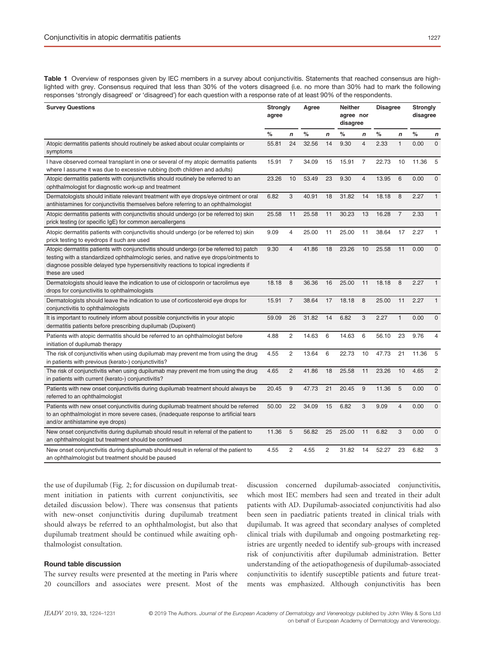Table 1 Overview of responses given by IEC members in a survey about conjunctivitis. Statements that reached consensus are highlighted with grey. Consensus required that less than 30% of the voters disagreed (i.e. no more than 30% had to mark the following responses 'strongly disagreed' or 'disagreed') for each question with a response rate of at least 90% of the respondents.

| <b>Survey Questions</b>                                                                                                                                                                                                                                                                  |       | <b>Strongly</b><br>agree |       | Agree          |       | <b>Neither</b><br>agree nor<br>disagree |       | <b>Disagree</b> |       | <b>Strongly</b><br>disagree |  |
|------------------------------------------------------------------------------------------------------------------------------------------------------------------------------------------------------------------------------------------------------------------------------------------|-------|--------------------------|-------|----------------|-------|-----------------------------------------|-------|-----------------|-------|-----------------------------|--|
|                                                                                                                                                                                                                                                                                          | $\%$  | n                        | $\%$  | $\mathbf n$    | %     | n                                       | %     | n               | ℅     | $\boldsymbol{n}$            |  |
| Atopic dermatitis patients should routinely be asked about ocular complaints or<br>symptoms                                                                                                                                                                                              | 55.81 | 24                       | 32.56 | 14             | 9.30  | $\overline{4}$                          | 2.33  | $\mathbf{1}$    | 0.00  | $\overline{0}$              |  |
| I have observed corneal transplant in one or several of my atopic dermatitis patients<br>where I assume it was due to excessive rubbing (both children and adults)                                                                                                                       | 15.91 | 7                        | 34.09 | 15             | 15.91 | $\overline{7}$                          | 22.73 | 10              | 11.36 | 5                           |  |
| Atopic dermatitis patients with conjunctivitis should routinely be referred to an<br>ophthalmologist for diagnostic work-up and treatment                                                                                                                                                | 23.26 | 10                       | 53.49 | 23             | 9.30  | $\overline{4}$                          | 13.95 | 6               | 0.00  | $\mathbf{0}$                |  |
| Dermatologists should initiate relevant treatment with eye drops/eye ointment or oral<br>antihistamines for conjunctivitis themselves before referring to an ophthalmologist                                                                                                             | 6.82  | 3                        | 40.91 | 18             | 31.82 | 14                                      | 18.18 | 8               | 2.27  | $\mathbf{1}$                |  |
| Atopic dermatitis patients with conjunctivitis should undergo (or be referred to) skin<br>prick testing (or specific IgE) for common aeroallergens                                                                                                                                       | 25.58 | 11                       | 25.58 | 11             | 30.23 | 13                                      | 16.28 | $\overline{7}$  | 2.33  | $\mathbf{1}$                |  |
| Atopic dermatitis patients with conjunctivitis should undergo (or be referred to) skin<br>prick testing to eyedrops if such are used                                                                                                                                                     | 9.09  | 4                        | 25.00 | 11             | 25.00 | 11                                      | 38.64 | 17              | 2.27  | 1                           |  |
| Atopic dermatitis patients with conjunctivitis should undergo (or be referred to) patch<br>testing with a standardized ophthalmologic series, and native eye drops/ointments to<br>diagnose possible delayed type hypersensitivity reactions to topical ingredients if<br>these are used | 9.30  | $\overline{4}$           | 41.86 | 18             | 23.26 | 10                                      | 25.58 | 11              | 0.00  | $\Omega$                    |  |
| Dermatologists should leave the indication to use of ciclosporin or tacrolimus eye<br>drops for conjunctivitis to ophthalmologists                                                                                                                                                       | 18.18 | 8                        | 36.36 | 16             | 25.00 | 11                                      | 18.18 | 8               | 2.27  | $\mathbf{1}$                |  |
| Dermatologists should leave the indication to use of corticosteroid eye drops for<br>conjunctivitis to ophthalmologists                                                                                                                                                                  | 15.91 | $\overline{7}$           | 38.64 | 17             | 18.18 | 8                                       | 25.00 | 11              | 2.27  | $\mathbf{1}$                |  |
| It is important to routinely inform about possible conjunctivitis in your atopic<br>dermatitis patients before prescribing dupilumab (Dupixent)                                                                                                                                          | 59.09 | 26                       | 31.82 | 14             | 6.82  | 3                                       | 2.27  | 1               | 0.00  | $\overline{0}$              |  |
| Patients with atopic dermatitis should be referred to an ophthalmologist before<br>initiation of dupilumab therapy                                                                                                                                                                       | 4.88  | $\overline{c}$           | 14.63 | 6              | 14.63 | 6                                       | 56.10 | 23              | 9.76  | $\overline{4}$              |  |
| The risk of conjunctivitis when using dupilumab may prevent me from using the drug<br>in patients with previous (kerato-) conjunctivitis?                                                                                                                                                | 4.55  | $\overline{c}$           | 13.64 | 6              | 22.73 | 10                                      | 47.73 | 21              | 11.36 | 5                           |  |
| The risk of conjunctivitis when using dupilumab may prevent me from using the drug<br>in patients with current (kerato-) conjunctivitis?                                                                                                                                                 | 4.65  | $\overline{c}$           | 41.86 | 18             | 25.58 | 11                                      | 23.26 | 10              | 4.65  | $\overline{2}$              |  |
| Patients with new onset conjunctivitis during dupilumab treatment should always be<br>referred to an ophthalmologist                                                                                                                                                                     | 20.45 | 9                        | 47.73 | 21             | 20.45 | 9                                       | 11.36 | 5               | 0.00  | $\mathbf 0$                 |  |
| Patients with new onset conjunctivitis during dupilumab treatment should be referred<br>to an ophthalmologist in more severe cases, (inadequate response to artificial tears<br>and/or antihistamine eye drops)                                                                          | 50.00 | 22                       | 34.09 | 15             | 6.82  | 3                                       | 9.09  | 4               | 0.00  | $\mathsf 0$                 |  |
| New onset conjunctivitis during dupilumab should result in referral of the patient to<br>an ophthalmologist but treatment should be continued                                                                                                                                            | 11.36 | 5                        | 56.82 | 25             | 25.00 | 11                                      | 6.82  | 3               | 0.00  | $\mathbf{0}$                |  |
| New onset conjunctivitis during dupilumab should result in referral of the patient to<br>an ophthalmologist but treatment should be paused                                                                                                                                               | 4.55  | 2                        | 4.55  | $\overline{2}$ | 31.82 | 14                                      | 52.27 | 23              | 6.82  | 3                           |  |

the use of dupilumab (Fig. 2; for discussion on dupilumab treatment initiation in patients with current conjunctivitis, see detailed discussion below). There was consensus that patients with new-onset conjunctivitis during dupilumab treatment should always be referred to an ophthalmologist, but also that dupilumab treatment should be continued while awaiting ophthalmologist consultation.

## Round table discussion

The survey results were presented at the meeting in Paris where 20 councillors and associates were present. Most of the discussion concerned dupilumab-associated conjunctivitis, which most IEC members had seen and treated in their adult patients with AD. Dupilumab-associated conjunctivitis had also been seen in paediatric patients treated in clinical trials with dupilumab. It was agreed that secondary analyses of completed clinical trials with dupilumab and ongoing postmarketing registries are urgently needed to identify sub-groups with increased risk of conjunctivitis after dupilumab administration. Better understanding of the aetiopathogenesis of dupilumab-associated conjunctivitis to identify susceptible patients and future treatments was emphasized. Although conjunctivitis has been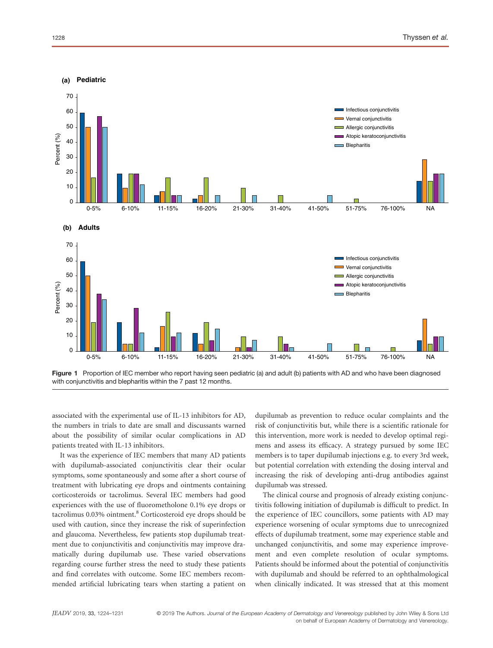

Figure 1 Proportion of IEC member who report having seen pediatric (a) and adult (b) patients with AD and who have been diagnosed with conjunctivitis and blepharitis within the 7 past 12 months.

associated with the experimental use of IL-13 inhibitors for AD, the numbers in trials to date are small and discussants warned about the possibility of similar ocular complications in AD patients treated with IL-13 inhibitors.

It was the experience of IEC members that many AD patients with dupilumab-associated conjunctivitis clear their ocular symptoms, some spontaneously and some after a short course of treatment with lubricating eye drops and ointments containing corticosteroids or tacrolimus. Several IEC members had good experiences with the use of fluorometholone 0.1% eye drops or tacrolimus 0.03% ointment.<sup>8</sup> Corticosteroid eye drops should be used with caution, since they increase the risk of superinfection and glaucoma. Nevertheless, few patients stop dupilumab treatment due to conjunctivitis and conjunctivitis may improve dramatically during dupilumab use. These varied observations regarding course further stress the need to study these patients and find correlates with outcome. Some IEC members recommended artificial lubricating tears when starting a patient on dupilumab as prevention to reduce ocular complaints and the risk of conjunctivitis but, while there is a scientific rationale for this intervention, more work is needed to develop optimal regimens and assess its efficacy. A strategy pursued by some IEC members is to taper dupilumab injections e.g. to every 3rd week, but potential correlation with extending the dosing interval and increasing the risk of developing anti-drug antibodies against dupilumab was stressed.

The clinical course and prognosis of already existing conjunctivitis following initiation of dupilumab is difficult to predict. In the experience of IEC councillors, some patients with AD may experience worsening of ocular symptoms due to unrecognized effects of dupilumab treatment, some may experience stable and unchanged conjunctivitis, and some may experience improvement and even complete resolution of ocular symptoms. Patients should be informed about the potential of conjunctivitis with dupilumab and should be referred to an ophthalmological when clinically indicated. It was stressed that at this moment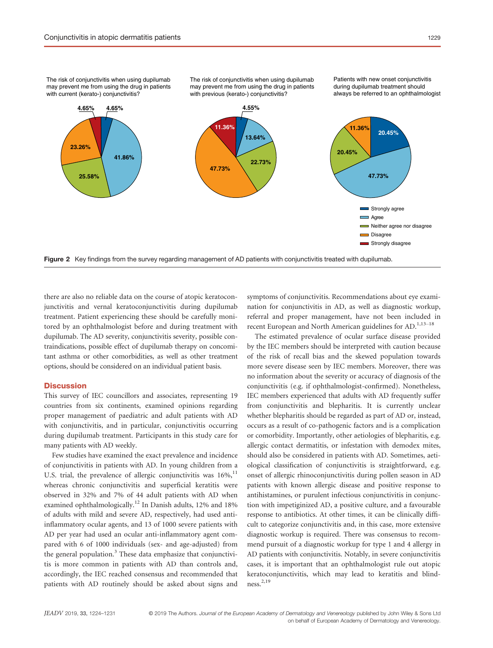The risk of conjunctivitis when using dupilumab may prevent me from using the drug in patients with previous (kerato-) conjunctivitis?

Patients with new onset conjunctivitis during dupilumab treatment should always be referred to an ophthalmologist



there are also no reliable data on the course of atopic keratoconjunctivitis and vernal keratoconjunctivitis during dupilumab treatment. Patient experiencing these should be carefully monitored by an ophthalmologist before and during treatment with dupilumab. The AD severity, conjunctivitis severity, possible contraindications, possible effect of dupilumab therapy on concomitant asthma or other comorbidities, as well as other treatment options, should be considered on an individual patient basis.

## **Discussion**

This survey of IEC councillors and associates, representing 19 countries from six continents, examined opinions regarding proper management of paediatric and adult patients with AD with conjunctivitis, and in particular, conjunctivitis occurring during dupilumab treatment. Participants in this study care for many patients with AD weekly.

Few studies have examined the exact prevalence and incidence of conjunctivitis in patients with AD. In young children from a U.S. trial, the prevalence of allergic conjunctivitis was  $16\%$ ,<sup>11</sup> whereas chronic conjunctivitis and superficial keratitis were observed in 32% and 7% of 44 adult patients with AD when examined ophthalmologically.<sup>12</sup> In Danish adults, 12% and 18% of adults with mild and severe AD, respectively, had used antiinflammatory ocular agents, and 13 of 1000 severe patients with AD per year had used an ocular anti-inflammatory agent compared with 6 of 1000 individuals (sex- and age-adjusted) from the general population.<sup>3</sup> These data emphasize that conjunctivitis is more common in patients with AD than controls and, accordingly, the IEC reached consensus and recommended that patients with AD routinely should be asked about signs and

symptoms of conjunctivitis. Recommendations about eye examination for conjunctivitis in AD, as well as diagnostic workup, referral and proper management, have not been included in recent European and North American guidelines for AD.<sup>1,13-18</sup>

The estimated prevalence of ocular surface disease provided by the IEC members should be interpreted with caution because of the risk of recall bias and the skewed population towards more severe disease seen by IEC members. Moreover, there was no information about the severity or accuracy of diagnosis of the conjunctivitis (e.g. if ophthalmologist-confirmed). Nonetheless, IEC members experienced that adults with AD frequently suffer from conjunctivitis and blepharitis. It is currently unclear whether blepharitis should be regarded as part of AD or, instead, occurs as a result of co-pathogenic factors and is a complication or comorbidity. Importantly, other aetiologies of blepharitis, e.g. allergic contact dermatitis, or infestation with demodex mites, should also be considered in patients with AD. Sometimes, aetiological classification of conjunctivitis is straightforward, e.g. onset of allergic rhinoconjunctivitis during pollen season in AD patients with known allergic disease and positive response to antihistamines, or purulent infectious conjunctivitis in conjunction with impetiginized AD, a positive culture, and a favourable response to antibiotics. At other times, it can be clinically difficult to categorize conjunctivitis and, in this case, more extensive diagnostic workup is required. There was consensus to recommend pursuit of a diagnostic workup for type 1 and 4 allergy in AD patients with conjunctivitis. Notably, in severe conjunctivitis cases, it is important that an ophthalmologist rule out atopic keratoconjunctivitis, which may lead to keratitis and blindness.2,19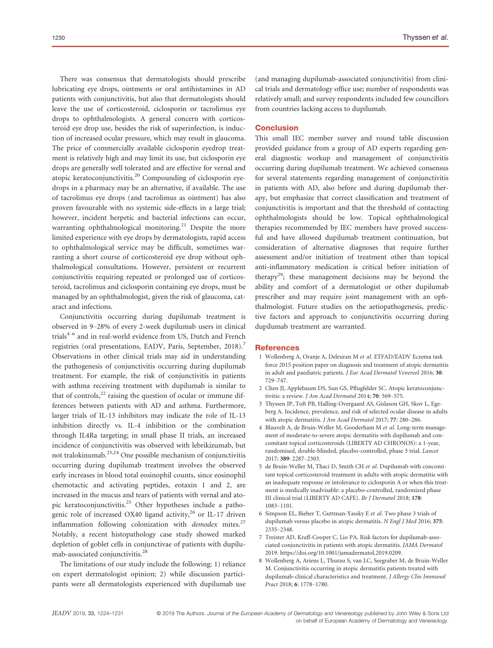There was consensus that dermatologists should prescribe lubricating eye drops, ointments or oral antihistamines in AD patients with conjunctivitis, but also that dermatologists should leave the use of corticosteroid, ciclosporin or tacrolimus eye drops to ophthalmologists. A general concern with corticosteroid eye drop use, besides the risk of superinfection, is induction of increased ocular pressure, which may result in glaucoma. The price of commercially available ciclosporin eyedrop treatment is relatively high and may limit its use, but ciclosporin eye drops are generally well tolerated and are effective for vernal and atopic keratoconjunctivitis.<sup>20</sup> Compounding of ciclosporin eyedrops in a pharmacy may be an alternative, if available. The use of tacrolimus eye drops (and tacrolimus as ointment) has also proven favourable with no systemic side-effects in a large trial; however, incident herpetic and bacterial infections can occur, warranting ophthalmological monitoring.<sup>21</sup> Despite the more limited experience with eye drops by dermatologists, rapid access to ophthalmological service may be difficult, sometimes warranting a short course of corticosteroid eye drop without ophthalmological consultations. However, persistent or recurrent conjunctivitis requiring repeated or prolonged use of corticosteroid, tacrolimus and ciclosporin containing eye drops, must be managed by an ophthalmologist, given the risk of glaucoma, cataract and infections.

Conjunctivitis occurring during dupilumab treatment is observed in 9–28% of every 2-week dupilumab users in clinical trials<sup>4-6</sup> and in real-world evidence from US, Dutch and French registries (oral presentations, EADV, Paris, September, 2018).<sup>7</sup> Observations in other clinical trials may aid in understanding the pathogenesis of conjunctivitis occurring during dupilumab treatment. For example, the risk of conjunctivitis in patients with asthma receiving treatment with dupilumab is similar to that of controls, $^{22}$  raising the question of ocular or immune differences between patients with AD and asthma. Furthermore, larger trials of IL-13 inhibitors may indicate the role of IL-13 inhibition directly vs. IL-4 inhibition or the combination through IL4Ra targeting; in small phase II trials, an increased incidence of conjunctivitis was observed with lebrikizumab, but not tralokinumab.23,24 One possible mechanism of conjunctivitis occurring during dupilumab treatment involves the observed early increases in blood total eosinophil counts, since eosinophil chemotactic and activating peptides, eotaxin 1 and 2, are increased in the mucus and tears of patients with vernal and atopic keratoconjunctivitis.<sup>25</sup> Other hypotheses include a pathogenic role of increased OX40 ligand activity,<sup>26</sup> or IL-17 driven inflammation following colonization with *demodex* mites.<sup>27</sup> Notably, a recent histopathology case study showed marked depletion of goblet cells in conjunctivae of patients with dupilumab-associated conjunctivitis.<sup>28</sup>

The limitations of our study include the following: 1) reliance on expert dermatologist opinion; 2) while discussion participants were all dermatologists experienced with dupilumab use (and managing dupilumab-associated conjunctivitis) from clinical trials and dermatology office use; number of respondents was relatively small; and survey respondents included few councillors from countries lacking access to dupilumab.

### **Conclusion**

This small IEC member survey and round table discussion provided guidance from a group of AD experts regarding general diagnostic workup and management of conjunctivitis occurring during dupilumab treatment. We achieved consensus for several statements regarding management of conjunctivitis in patients with AD, also before and during dupilumab therapy, but emphasize that correct classification and treatment of conjunctivitis is important and that the threshold of contacting ophthalmologists should be low. Topical ophthalmological therapies recommended by IEC members have proved successful and have allowed dupilumab treatment continuation, but consideration of alternative diagnoses that require further assessment and/or initiation of treatment other than topical anti-inflammatory medication is critical before initiation of therapy<sup>29</sup>; these management decisions may be beyond the ability and comfort of a dermatologist or other dupilumab prescriber and may require joint management with an ophthalmologist. Future studies on the aetiopathogenesis, predictive factors and approach to conjunctivitis occurring during dupilumab treatment are warranted.

#### **References**

- 1 Wollenberg A, Oranje A, Deleuran M et al. ETFAD/EADV Eczema task force 2015 position paper on diagnosis and treatment of atopic dermatitis in adult and paediatric patients. J Eur Acad Dermatol Venereol 2016; 30: 729–747.
- 2 Chen JJ, Applebaum DS, Sun GS, Pflugfelder SC. Atopic keratoconjunctivitis: a review. J Am Acad Dermatol 2014; 70: 569–575.
- 3 Thyssen JP, Toft PB, Halling-Overgaard AS, Gislason GH, Skov L, Egeberg A. Incidence, prevalence, and risk of selected ocular disease in adults with atopic dermatitis. J Am Acad Dermatol 2017; 77: 280-286.
- 4 Blauvelt A, de Bruin-Weller M, Gooderham M et al. Long-term management of moderate-to-severe atopic dermatitis with dupilumab and concomitant topical corticosteroids (LIBERTY AD CHRONOS): a 1-year, randomised, double-blinded, placebo-controlled, phase 3 trial. Lancet 2017; 389: 2287–2303.
- 5 de Bruin-Weller M, Thaci D, Smith CH et al. Dupilumab with concomitant topical corticosteroid treatment in adults with atopic dermatitis with an inadequate response or intolerance to ciclosporin A or when this treatment is medically inadvisable: a placebo-controlled, randomized phase III clinical trial (LIBERTY AD CAFE). Br J Dermatol 2018; 178: 1083–1101.
- 6 Simpson EL, Bieber T, Guttman-Yassky E et al. Two phase 3 trials of dupilumab versus placebo in atopic dermatitis. N Engl J Med 2016; 375: 2335–2348.
- 7 Treister AD, Kraff-Cooper C, Lio PA. Risk factors for dupilumab-associated conjunctivitis in patients with atopic dermatitis. JAMA Dermatol 2019.<https://doi.org/10.1001/jamadermatol.2019.0209>.
- 8 Wollenberg A, Ariens L, Thurau S, van LC, Seegraber M, de Bruin-Weller M. Conjunctivitis occurring in atopic dermatitis patients treated with dupilumab-clinical characteristics and treatment. J Allergy Clin Immunol Pract 2018; 6: 1778–1780.